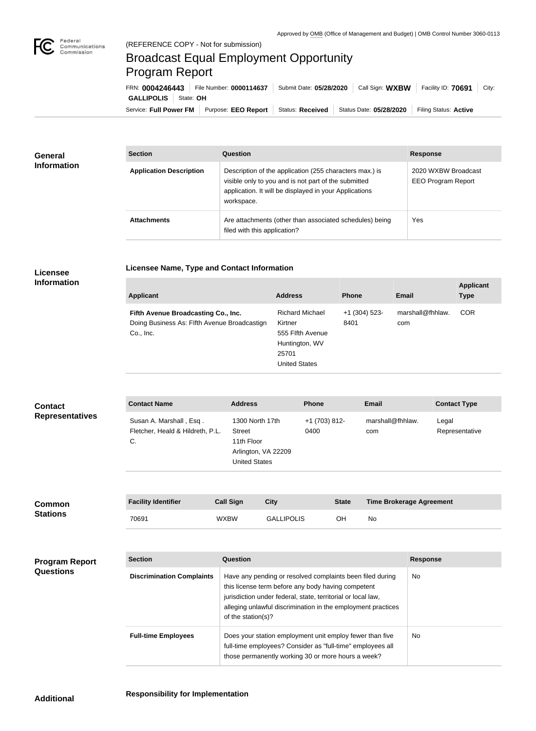

п

## Broadcast Equal Employment Opportunity Program Report

**Licensee Name, Type and Contact Information**

Service: Full Power FM Purpose: EEO Report | Status: Received | Status Date: 05/28/2020 | Filing Status: Active **GALLIPOLIS** State: **OH** FRN: **0004246443** File Number: **0000114637** Submit Date: **05/28/2020** Call Sign: **WXBW** Facility ID: **70691** City:

| <b>General</b><br><b>Information</b> | <b>Section</b>                 | Question                                                                                                                                                                                | <b>Response</b>                                  |  |
|--------------------------------------|--------------------------------|-----------------------------------------------------------------------------------------------------------------------------------------------------------------------------------------|--------------------------------------------------|--|
|                                      | <b>Application Description</b> | Description of the application (255 characters max.) is<br>visible only to you and is not part of the submitted<br>application. It will be displayed in your Applications<br>workspace. | 2020 WXBW Broadcast<br><b>EEO Program Report</b> |  |
|                                      | <b>Attachments</b>             | Are attachments (other than associated schedules) being<br>filed with this application?                                                                                                 | Yes                                              |  |

## **Licensee Information**

| <b>Applicant</b>                                                                                 | <b>Address</b>                                                                                           | <b>Phone</b>            | Email                   | <b>Applicant</b><br><b>Type</b> |
|--------------------------------------------------------------------------------------------------|----------------------------------------------------------------------------------------------------------|-------------------------|-------------------------|---------------------------------|
| Fifth Avenue Broadcasting Co., Inc.<br>Doing Business As: Flfth Avenue Broadcastign<br>Co., Inc. | <b>Richard Michael</b><br>Kirtner<br>555 Flfth Avenue<br>Huntington, WV<br>25701<br><b>United States</b> | $+1$ (304) 523-<br>8401 | marshall@fhhlaw.<br>com | <b>COR</b>                      |

| <b>Contact</b><br><b>Representatives</b> | <b>Contact Name</b>                                               |                                                                                                                                                                              | <b>Address</b>                                                                                                                                                                                                                                                        | <b>Phone</b>          |              | <b>Email</b>                    |                 | <b>Contact Type</b>     |
|------------------------------------------|-------------------------------------------------------------------|------------------------------------------------------------------------------------------------------------------------------------------------------------------------------|-----------------------------------------------------------------------------------------------------------------------------------------------------------------------------------------------------------------------------------------------------------------------|-----------------------|--------------|---------------------------------|-----------------|-------------------------|
|                                          | Susan A. Marshall, Esq.<br>Fletcher, Heald & Hildreth, P.L.<br>C. |                                                                                                                                                                              | 1300 North 17th<br><b>Street</b><br>11th Floor<br>Arlington, VA 22209<br><b>United States</b>                                                                                                                                                                         | +1 (703) 812-<br>0400 |              | marshall@fhhlaw.<br>com         |                 | Legal<br>Representative |
|                                          | <b>Facility Identifier</b>                                        | <b>Call Sign</b>                                                                                                                                                             | <b>City</b>                                                                                                                                                                                                                                                           |                       | <b>State</b> | <b>Time Brokerage Agreement</b> |                 |                         |
| <b>Common</b><br><b>Stations</b>         | 70691                                                             | <b>WXBW</b>                                                                                                                                                                  | <b>GALLIPOLIS</b>                                                                                                                                                                                                                                                     |                       | OH           | No                              |                 |                         |
|                                          |                                                                   |                                                                                                                                                                              |                                                                                                                                                                                                                                                                       |                       |              |                                 |                 |                         |
| <b>Program Report</b>                    | <b>Section</b>                                                    | Question                                                                                                                                                                     |                                                                                                                                                                                                                                                                       |                       |              |                                 | <b>Response</b> |                         |
| <b>Questions</b>                         | <b>Discrimination Complaints</b>                                  |                                                                                                                                                                              | Have any pending or resolved complaints been filed during<br>this license term before any body having competent<br>jurisdiction under federal, state, territorial or local law,<br>alleging unlawful discrimination in the employment practices<br>of the station(s)? |                       |              |                                 |                 |                         |
|                                          | <b>Full-time Employees</b>                                        | Does your station employment unit employ fewer than five<br>full-time employees? Consider as "full-time" employees all<br>those permanently working 30 or more hours a week? |                                                                                                                                                                                                                                                                       |                       |              | <b>No</b>                       |                 |                         |